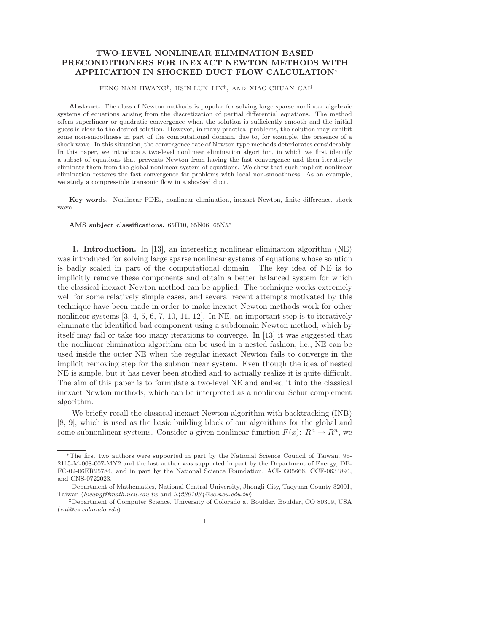# TWO-LEVEL NONLINEAR ELIMINATION BASED PRECONDITIONERS FOR INEXACT NEWTON METHODS WITH APPLICATION IN SHOCKED DUCT FLOW CALCULATION<sup>∗</sup>

## FENG-NAN HWANG† , HSIN-LUN LIN† , AND XIAO-CHUAN CAI‡

Abstract. The class of Newton methods is popular for solving large sparse nonlinear algebraic systems of equations arising from the discretization of partial differential equations. The method offers superlinear or quadratic convergence when the solution is sufficiently smooth and the initial guess is close to the desired solution. However, in many practical problems, the solution may exhibit some non-smoothness in part of the computational domain, due to, for example, the presence of a shock wave. In this situation, the convergence rate of Newton type methods deteriorates considerably. In this paper, we introduce a two-level nonlinear elimination algorithm, in which we first identify a subset of equations that prevents Newton from having the fast convergence and then iteratively eliminate them from the global nonlinear system of equations. We show that such implicit nonlinear elimination restores the fast convergence for problems with local non-smoothness. As an example, we study a compressible transonic flow in a shocked duct.

Key words. Nonlinear PDEs, nonlinear elimination, inexact Newton, finite difference, shock wave

### AMS subject classifications. 65H10, 65N06, 65N55

1. Introduction. In [13], an interesting nonlinear elimination algorithm (NE) was introduced for solving large sparse nonlinear systems of equations whose solution is badly scaled in part of the computational domain. The key idea of NE is to implicitly remove these components and obtain a better balanced system for which the classical inexact Newton method can be applied. The technique works extremely well for some relatively simple cases, and several recent attempts motivated by this technique have been made in order to make inexact Newton methods work for other nonlinear systems  $[3, 4, 5, 6, 7, 10, 11, 12]$ . In NE, an important step is to iteratively eliminate the identified bad component using a subdomain Newton method, which by itself may fail or take too many iterations to converge. In [13] it was suggested that the nonlinear elimination algorithm can be used in a nested fashion; i.e., NE can be used inside the outer NE when the regular inexact Newton fails to converge in the implicit removing step for the subnonlinear system. Even though the idea of nested NE is simple, but it has never been studied and to actually realize it is quite difficult. The aim of this paper is to formulate a two-level NE and embed it into the classical inexact Newton methods, which can be interpreted as a nonlinear Schur complement algorithm.

We briefly recall the classical inexact Newton algorithm with backtracking (INB) [8, 9], which is used as the basic building block of our algorithms for the global and some subnonlinear systems. Consider a given nonlinear function  $F(x)$ :  $R^n \to R^n$ , we

<sup>∗</sup>The first two authors were supported in part by the National Science Council of Taiwan, 96- 2115-M-008-007-MY2 and the last author was supported in part by the Department of Energy, DE-FC-02-06ER25784, and in part by the National Science Foundation, ACI-0305666, CCF-0634894, and CNS-0722023.

<sup>†</sup>Department of Mathematics, National Central University, Jhongli City, Taoyuan County 32001, Taiwan (hwangf@math.ncu.edu.tw and 942201024@cc.ncu.edu.tw).

<sup>‡</sup>Department of Computer Science, University of Colorado at Boulder, Boulder, CO 80309, USA (cai@cs.colorado.edu).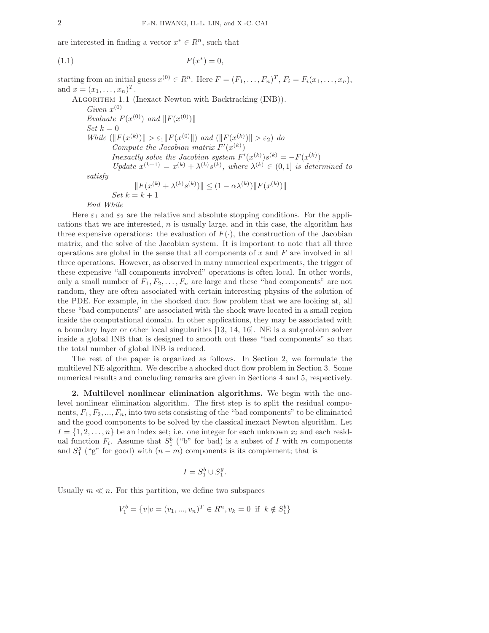are interested in finding a vector  $x^* \in R^n$ , such that

$$
F(x^*) = 0,
$$

starting from an initial guess  $x^{(0)} \in R^n$ . Here  $F = (F_1, \ldots, F_n)^T$ ,  $F_i = F_i(x_1, \ldots, x_n)$ , and  $x = (x_1, ..., x_n)^T$ . ALGORITHM 1.1 (Inexact Newton with Backtracking (INB)). Given  $x^{(0)}$ Evaluate  $F(x^{(0)})$  and  $||F(x^{(0)})||$  $Set\; k = 0$ While  $(\|F(x^{(k)})\| > \varepsilon_1 \|F(x^{(0)}\|)$  and  $(\|F(x^{(k)})\| > \varepsilon_2)$  do Compute the Jacobian matrix  $F'(x^{(k)})$ Inexactly solve the Jacobian system  $F'(x^{(k)})s^{(k)} = -F(x^{(k)})$ Update  $x^{(k+1)} = x^{(k)} + \lambda^{(k)} s^{(k)}$ , where  $\lambda^{(k)} \in (0,1]$  is determined to

satisfy

$$
||F(x^{(k)} + \lambda^{(k)} s^{(k)})|| \le (1 - \alpha \lambda^{(k)}) ||F(x^{(k)})||
$$
  
Set  $k = k + 1$ 

End While

Here  $\varepsilon_1$  and  $\varepsilon_2$  are the relative and absolute stopping conditions. For the applications that we are interested,  $n$  is usually large, and in this case, the algorithm has three expensive operations: the evaluation of  $F(\cdot)$ , the construction of the Jacobian matrix, and the solve of the Jacobian system. It is important to note that all three operations are global in the sense that all components of x and  $F$  are involved in all three operations. However, as observed in many numerical experiments, the trigger of these expensive "all components involved" operations is often local. In other words, only a small number of  $F_1, F_2, \ldots, F_n$  are large and these "bad components" are not random, they are often associated with certain interesting physics of the solution of the PDE. For example, in the shocked duct flow problem that we are looking at, all these "bad components" are associated with the shock wave located in a small region inside the computational domain. In other applications, they may be associated with a boundary layer or other local singularities [13, 14, 16]. NE is a subproblem solver inside a global INB that is designed to smooth out these "bad components" so that the total number of global INB is reduced.

The rest of the paper is organized as follows. In Section 2, we formulate the multilevel NE algorithm. We describe a shocked duct flow problem in Section 3. Some numerical results and concluding remarks are given in Sections 4 and 5, respectively.

2. Multilevel nonlinear elimination algorithms. We begin with the onelevel nonlinear elimination algorithm. The first step is to split the residual components,  $F_1, F_2, ..., F_n$ , into two sets consisting of the "bad components" to be eliminated and the good components to be solved by the classical inexact Newton algorithm. Let  $I = \{1, 2, \ldots, n\}$  be an index set; i.e. one integer for each unknown  $x_i$  and each residual function  $F_i$ . Assume that  $S_1^b$  ("b" for bad) is a subset of I with m components and  $S_1^g$  ("g" for good) with  $(n-m)$  components is its complement; that is

$$
I = S_1^b \cup S_1^g.
$$

Usually  $m \ll n$ . For this partition, we define two subspaces

$$
V_1^b = \{v | v = (v_1, ..., v_n)^T \in R^n, v_k = 0 \text{ if } k \notin S_1^b \}
$$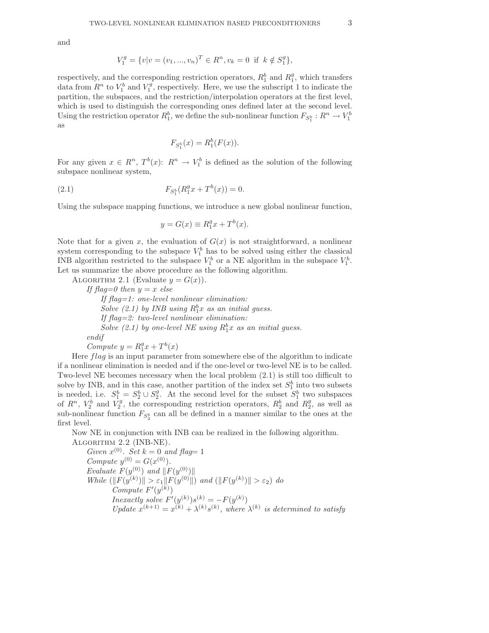and

$$
V_1^g = \{v|v = (v_1, ..., v_n)^T \in R^n, v_k = 0 \text{ if } k \notin S_1^g\},\
$$

respectively, and the corresponding restriction operators,  $R_1^b$  and  $R_1^g$ , which transfers data from  $R^n$  to  $V_1^b$  and  $V_1^g$ , respectively. Here, we use the subscript 1 to indicate the partition, the subspaces, and the restriction/interpolation operators at the first level, which is used to distinguish the corresponding ones defined later at the second level. Using the restriction operator  $R_1^b$ , we define the sub-nonlinear function  $F_{S_1^b}: R^n \to V_1^b$ as

$$
F_{S_1^b}(x) = R_1^b(F(x)).
$$

For any given  $x \in R^n$ ,  $T^b(x)$ :  $R^n \to V_1^b$  is defined as the solution of the following subspace nonlinear system,

(2.1) 
$$
F_{S_1^b}(R_1^gx + T^b(x)) = 0.
$$

Using the subspace mapping functions, we introduce a new global nonlinear function,

$$
y = G(x) \equiv R_1^g x + T^b(x).
$$

Note that for a given x, the evaluation of  $G(x)$  is not straightforward, a nonlinear system corresponding to the subspace  $V_1^b$  has to be solved using either the classical INB algorithm restricted to the subspace  $V_1^b$  or a NE algorithm in the subspace  $V_1^b$ . Let us summarize the above procedure as the following algorithm.

ALGORITHM 2.1 (Evaluate  $y = G(x)$ ).

If flag=0 then  $y = x$  else If flag=1: one-level nonlinear elimination: Solve (2.1) by INB using  $R_1^b x$  as an initial guess. If flag=2: two-level nonlinear elimination: Solve (2.1) by one-level NE using  $R_1^b x$  as an initial guess. endif

Compute  $y = R_1^gx + T^b(x)$ 

Here flag is an input parameter from somewhere else of the algorithm to indicate if a nonlinear elimination is needed and if the one-level or two-level NE is to be called. Two-level NE becomes necessary when the local problem (2.1) is still too difficult to solve by INB, and in this case, another partition of the index set  $S_1^b$  into two subsets is needed, i.e.  $S_1^b = S_2^b \cup S_2^g$ . At the second level for the subset  $S_1^b$  two subspaces of  $R^n$ ,  $V_2^b$  and  $V_2^g$ , the corresponding restriction operators,  $R_2^b$  and  $R_2^g$ , as well as sub-nonlinear function  $F_{S_2^b}$  can all be defined in a manner similar to the ones at the first level.

Now NE in conjunction with INB can be realized in the following algorithm. Algorithm 2.2 (INB-NE).

Given  $x^{(0)}$ . Set  $k = 0$  and flag= 1 Compute  $y^{(0)} = G(x^{(0)})$ . Evaluate  $F(y^{(0)})$  and  $||F(y^{(0)})||$ While  $(\|F(y^{(k)})\| > \varepsilon_1 \|F(y^{(0)}\|)$  and  $(\|F(y^{(k)})\| > \varepsilon_2)$  do  $Compute F'(y^{(k)})$ Inexactly solve  $F'(y^{(k)})s^{(k)} = -F(y^{(k)})$ Update  $x^{(k+1)} = x^{(k)} + \lambda^{(k)} s^{(k)}$ , where  $\lambda^{(k)}$  is determined to satisfy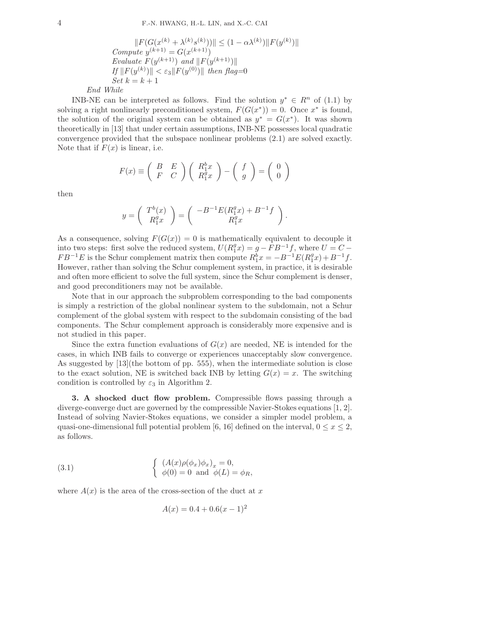$$
||F(G(x^{(k)} + \lambda^{(k)} s^{(k)}))|| \leq (1 - \alpha \lambda^{(k)}) ||F(y^{(k)})||
$$
  
Compute  $y^{(k+1)} = G(x^{(k+1)})$   
Evaluate  $F(y^{(k+1)})$  and  $||F(y^{(k+1)})||$   
If  $||F(y^{(k)})|| < \varepsilon_3 ||F(y^{(0)})||$  then flag=0  
Set  $k = k + 1$   
End While

INB-NE can be interpreted as follows. Find the solution  $y^* \in R^n$  of (1.1) by solving a right nonlinearly preconditioned system,  $F(G(x^*)) = 0$ . Once  $x^*$  is found, the solution of the original system can be obtained as  $y^* = G(x^*)$ . It was shown theoretically in [13] that under certain assumptions, INB-NE possesses local quadratic convergence provided that the subspace nonlinear problems (2.1) are solved exactly. Note that if  $F(x)$  is linear, i.e.

$$
F(x) \equiv \begin{pmatrix} B & E \\ F & C \end{pmatrix} \begin{pmatrix} R_1^b x \\ R_1^g x \end{pmatrix} - \begin{pmatrix} f \\ g \end{pmatrix} = \begin{pmatrix} 0 \\ 0 \end{pmatrix}
$$

then

$$
y=\left(\begin{array}{c}T^b(x)\\R^g_1x\end{array}\right)=\left(\begin{array}{c}-B^{-1}E(R^g_1x)+B^{-1}f\\R^g_1x\end{array}\right).
$$

As a consequence, solving  $F(G(x)) = 0$  is mathematically equivalent to decouple it into two steps: first solve the reduced system,  $U(R_1^gx) = g - FB^{-1}f$ , where  $U = C FB^{-1}E$  is the Schur complement matrix then compute  $R_1^{\bar{b}}x = -B^{-1}E(R_1^gx) + B^{-1}f$ . However, rather than solving the Schur complement system, in practice, it is desirable and often more efficient to solve the full system, since the Schur complement is denser, and good preconditioners may not be available.

Note that in our approach the subproblem corresponding to the bad components is simply a restriction of the global nonlinear system to the subdomain, not a Schur complement of the global system with respect to the subdomain consisting of the bad components. The Schur complement approach is considerably more expensive and is not studied in this paper.

Since the extra function evaluations of  $G(x)$  are needed, NE is intended for the cases, in which INB fails to converge or experiences unacceptably slow convergence. As suggested by [13](the bottom of pp. 555), when the intermediate solution is close to the exact solution, NE is switched back INB by letting  $G(x) = x$ . The switching condition is controlled by  $\varepsilon_3$  in Algorithm 2.

3. A shocked duct flow problem. Compressible flows passing through a diverge-converge duct are governed by the compressible Navier-Stokes equations [1, 2]. Instead of solving Navier-Stokes equations, we consider a simpler model problem, a quasi-one-dimensional full potential problem [6, 16] defined on the interval,  $0 \le x \le 2$ , as follows.

(3.1) 
$$
\begin{cases} (A(x)\rho(\phi_x)\phi_x)_x = 0, \\ \phi(0) = 0 \text{ and } \phi(L) = \phi_R, \end{cases}
$$

where  $A(x)$  is the area of the cross-section of the duct at x

$$
A(x) = 0.4 + 0.6(x - 1)^2
$$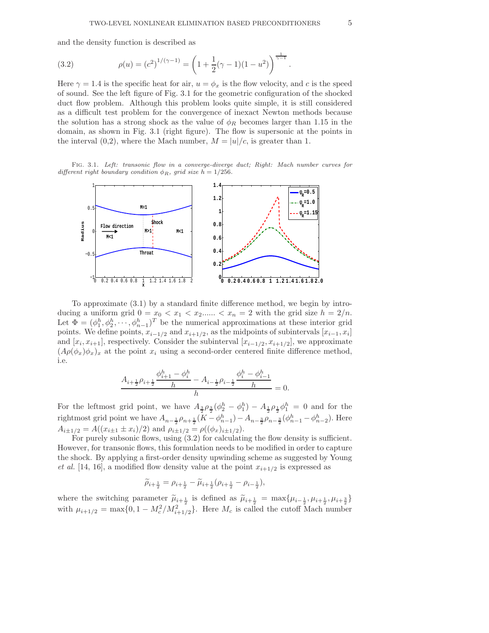and the density function is described as

(3.2) 
$$
\rho(u) = (c^2)^{1/(\gamma - 1)} = \left(1 + \frac{1}{2}(\gamma - 1)(1 - u^2)\right)^{\frac{1}{\gamma - 1}}.
$$

Here  $\gamma = 1.4$  is the specific heat for air,  $u = \phi_x$  is the flow velocity, and c is the speed of sound. See the left figure of Fig. 3.1 for the geometric configuration of the shocked duct flow problem. Although this problem looks quite simple, it is still considered as a difficult test problem for the convergence of inexact Newton methods because the solution has a strong shock as the value of  $\phi_R$  becomes larger than 1.15 in the domain, as shown in Fig. 3.1 (right figure). The flow is supersonic at the points in the interval  $(0,2)$ , where the Mach number,  $M = |u|/c$ , is greater than 1.

Fig. 3.1. Left: transonic flow in a converge-diverge duct; Right: Mach number curves for different right boundary condition  $\phi_R$ , grid size  $h = 1/256$ .



To approximate (3.1) by a standard finite difference method, we begin by introducing a uniform grid  $0 = x_0 < x_1 < x_2$ ......  $\langle x_n = 2 \rangle$  with the grid size  $h = 2/n$ . Let  $\Phi = (\phi_1^h, \phi_2^h, \dots, \phi_{n-1}^h)^T$  be the numerical approximations at these interior grid points. We define points,  $x_{i-1/2}$  and  $x_{i+1/2}$ , as the midpoints of subintervals  $[x_{i-1}, x_i]$ and  $[x_i, x_{i+1}]$ , respectively. Consider the subinterval  $[x_{i-1/2}, x_{i+1/2}]$ , we approximate  $(A\rho(\phi_x)\phi_x)_x$  at the point  $x_i$  using a second-order centered finite difference method, i.e.

$$
\frac{A_{i+\frac{1}{2}}\rho_{i+\frac{1}{2}}\frac{\phi_{i+1}^h-\phi_i^h}{h}-A_{i-\frac{1}{2}}\rho_{i-\frac{1}{2}}\frac{\phi_i^h-\phi_{i-1}^h}{h}}{h}=0.
$$

For the leftmost grid point, we have  $A_{\frac{3}{2}}\rho_{\frac{3}{2}}(\phi_2^h - \phi_1^h) - A_{\frac{1}{2}}\rho_{\frac{1}{2}}\phi_1^h = 0$  and for the rightmost grid point we have  $A_{n-\frac{1}{2}}\rho_{n+\frac{1}{2}}(K-\phi_{n-1}^h)-A_{n-\frac{3}{2}}\rho_{n-\frac{3}{2}}(\phi_{n-1}^h-\phi_{n-2}^h)$ . Here  $A_{i\pm 1/2} = A((x_{i\pm 1} \pm x_i)/2)$  and  $\rho_{i\pm 1/2} = \rho((\phi_x)_{i\pm 1/2})$ .

For purely subsonic flows, using  $(3.2)$  for calculating the flow density is sufficient. However, for transonic flows, this formulation needs to be modified in order to capture the shock. By applying a first-order density upwinding scheme as suggested by Young *et al.* [14, 16], a modified flow density value at the point  $x_{i+1/2}$  is expressed as

$$
\widetilde{\rho}_{i+\frac{1}{2}} = \rho_{i+\frac{1}{2}} - \widetilde{\mu}_{i+\frac{1}{2}}(\rho_{i+\frac{1}{2}} - \rho_{i-\frac{1}{2}}),
$$

where the switching parameter  $\widetilde{\mu}_{i+\frac{1}{2}}$  is defined as  $\widetilde{\mu}_{i+\frac{1}{2}} = \max{\{\mu_{i-\frac{1}{2}}, \mu_{i+\frac{1}{2}}, \mu_{i+\frac{3}{2}}\}}$ with  $\mu_{i+1/2} = \max\{0, 1 - M_c^2/M_{i+1/2}^2\}$ . Here  $M_c$  is called the cutoff Mach number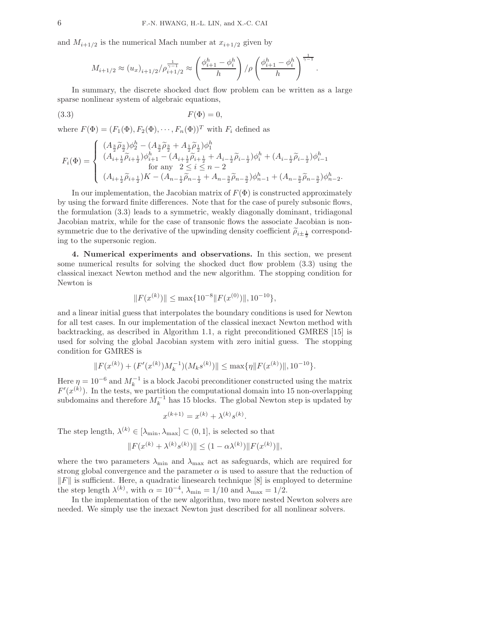and  $M_{i+1/2}$  is the numerical Mach number at  $x_{i+1/2}$  given by

$$
M_{i+1/2} \approx (u_x)_{i+1/2} / \rho_{i+1/2}^{\frac{1}{\gamma-1}} \approx \left(\frac{\phi_{i+1}^h - \phi_i^h}{h}\right) / \rho \left(\frac{\phi_{i+1}^h - \phi_i^h}{h}\right)^{\frac{1}{\gamma-1}}.
$$

In summary, the discrete shocked duct flow problem can be written as a large sparse nonlinear system of algebraic equations,

$$
F(\Phi) = 0,
$$

where  $F(\Phi) = (F_1(\Phi), F_2(\Phi), \cdots, F_n(\Phi))^T$  with  $F_i$  defined as

$$
F_i(\Phi)=\left\{\begin{array}{l} (A_{\frac{3}{2}}\widetilde{\rho}_{\frac{3}{2}})\phi_2^h-(A_{\frac{3}{2}}\widetilde{\rho}_{\frac{3}{2}}+A_{\frac{1}{2}}\widetilde{\rho}_{\frac{1}{2}})\phi_1^h\\ (A_{i+\frac{1}{2}}\widetilde{\rho}_{i+\frac{1}{2}})\phi_{i+1}^h-(A_{i+\frac{1}{2}}\widetilde{\rho}_{i+\frac{1}{2}}+A_{i-\frac{1}{2}}\widetilde{\rho}_{i-\frac{1}{2}})\phi_i^h+(A_{i-\frac{1}{2}}\widetilde{\rho}_{i-\frac{1}{2}})\phi_{i-1}^h\\ \text{for any } 2\leq i\leq n-2\\ (A_{i+\frac{1}{2}}\widetilde{\rho}_{i+\frac{1}{2}})K-(A_{n-\frac{1}{2}}\widetilde{\rho}_{n-\frac{1}{2}}+A_{n-\frac{3}{2}}\widetilde{\rho}_{n-\frac{3}{2}})\phi_{n-1}^h+(A_{n-\frac{3}{2}}\widetilde{\rho}_{n-\frac{3}{2}})\phi_{n-2}^h\end{array}\right.
$$

.

In our implementation, the Jacobian matrix of  $F(\Phi)$  is constructed approximately by using the forward finite differences. Note that for the case of purely subsonic flows, the formulation (3.3) leads to a symmetric, weakly diagonally dominant, tridiagonal Jacobian matrix, while for the case of transonic flows the associate Jacobian is nonsymmetric due to the derivative of the upwinding density coefficient  $\tilde{\rho}_{i\pm\frac{1}{2}}$  corresponding to the supersonic region.

4. Numerical experiments and observations. In this section, we present some numerical results for solving the shocked duct flow problem (3.3) using the classical inexact Newton method and the new algorithm. The stopping condition for Newton is

$$
||F(x^{(k)})|| \le \max\{10^{-8}||F(x^{(0)})||, 10^{-10}\},\
$$

and a linear initial guess that interpolates the boundary conditions is used for Newton for all test cases. In our implementation of the classical inexact Newton method with backtracking, as described in Algorithm 1.1, a right preconditioned GMRES [15] is used for solving the global Jacobian system with zero initial guess. The stopping condition for GMRES is

$$
||F(x^{(k)}) + (F'(x^{(k)})M_k^{-1})(M_ks^{(k)})|| \le \max{\{\eta || F(x^{(k)}) ||, 10^{-10}\}}.
$$

Here  $\eta = 10^{-6}$  and  $M_k^{-1}$  is a block Jacobi preconditioner constructed using the matrix  $F'(x^{(k)})$ . In the tests, we partition the computational domain into 15 non-overlapping subdomains and therefore  $M_k^{-1}$  has 15 blocks. The global Newton step is updated by

$$
x^{(k+1)} = x^{(k)} + \lambda^{(k)} s^{(k)}.
$$

The step length,  $\lambda^{(k)} \in [\lambda_{\min}, \lambda_{\max}] \subset (0, 1]$ , is selected so that

$$
||F(x^{(k)} + \lambda^{(k)} s^{(k)})|| \le (1 - \alpha \lambda^{(k)}) ||F(x^{(k)})||,
$$

where the two parameters  $\lambda_{\min}$  and  $\lambda_{\max}$  act as safeguards, which are required for strong global convergence and the parameter  $\alpha$  is used to assure that the reduction of  $\|F\|$  is sufficient. Here, a quadratic linesearch technique [8] is employed to determine the step length  $\lambda^{(k)}$ , with  $\alpha = 10^{-4}$ ,  $\lambda_{\min} = 1/10$  and  $\lambda_{\max} = 1/2$ .

In the implementation of the new algorithm, two more nested Newton solvers are needed. We simply use the inexact Newton just described for all nonlinear solvers.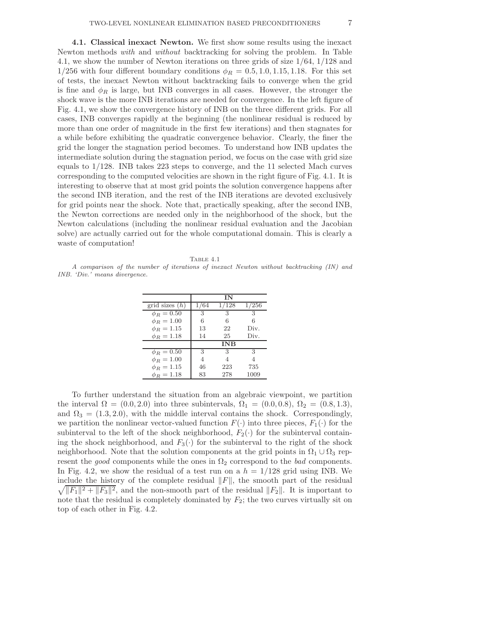4.1. Classical inexact Newton. We first show some results using the inexact Newton methods with and without backtracking for solving the problem. In Table 4.1, we show the number of Newton iterations on three grids of size 1/64, 1/128 and 1/256 with four different boundary conditions  $\phi_R = 0.5, 1.0, 1.15, 1.18$ . For this set of tests, the inexact Newton without backtracking fails to converge when the grid is fine and  $\phi_R$  is large, but INB converges in all cases. However, the stronger the shock wave is the more INB iterations are needed for convergence. In the left figure of Fig. 4.1, we show the convergence history of INB on the three different grids. For all cases, INB converges rapidly at the beginning (the nonlinear residual is reduced by more than one order of magnitude in the first few iterations) and then stagnates for a while before exhibiting the quadratic convergence behavior. Clearly, the finer the grid the longer the stagnation period becomes. To understand how INB updates the intermediate solution during the stagnation period, we focus on the case with grid size equals to 1/128. INB takes 223 steps to converge, and the 11 selected Mach curves corresponding to the computed velocities are shown in the right figure of Fig. 4.1. It is interesting to observe that at most grid points the solution convergence happens after the second INB iteration, and the rest of the INB iterations are devoted exclusively for grid points near the shock. Note that, practically speaking, after the second INB, the Newton corrections are needed only in the neighborhood of the shock, but the Newton calculations (including the nonlinear residual evaluation and the Jacobian solve) are actually carried out for the whole computational domain. This is clearly a waste of computation!

TABLE  $4.1$ 

A comparison of the number of iterations of inexact Newton without backtracking (IN) and INB. 'Div.' means divergence.

|                  |      | ΙN         |       |
|------------------|------|------------|-------|
| grid sizes $(h)$ | 1/64 | 1/128      | 1/256 |
| $\phi_R = 0.50$  | 3    | 3          | 3     |
| $\phi_R = 1.00$  | 6    | 6          | 6     |
| $\phi_B = 1.15$  | 13   | 22         | Div.  |
| $\phi_R = 1.18$  | 14   | 25         | Div.  |
|                  |      | <b>INB</b> |       |
| $\phi_R = 0.50$  | 3    | 3          | 3     |
| $\phi_B = 1.00$  |      |            |       |
| $\phi_B = 1.15$  | 46   | 223        | 735   |
| $\phi_R = 1.18$  | 83   | 278        | 1009  |

To further understand the situation from an algebraic viewpoint, we partition the interval  $\Omega = (0.0, 2.0)$  into three subintervals,  $\Omega_1 = (0.0, 0.8), \Omega_2 = (0.8, 1.3),$ and  $\Omega_3 = (1.3, 2.0)$ , with the middle interval contains the shock. Correspondingly, we partition the nonlinear vector-valued function  $F(\cdot)$  into three pieces,  $F_1(\cdot)$  for the subinterval to the left of the shock neighborhood,  $F_2(\cdot)$  for the subinterval containing the shock neighborhood, and  $F_3(\cdot)$  for the subinterval to the right of the shock neighborhood. Note that the solution components at the grid points in  $\Omega_1 \cup \Omega_3$  represent the good components while the ones in  $\Omega_2$  correspond to the bad components. In Fig. 4.2, we show the residual of a test run on a  $h = 1/128$  grid using INB. We  $\sqrt{\|F_1\|^2 + \|F_3\|^2}$ , and the non-smooth part of the residual  $\|F_2\|$ . It is important to include the history of the complete residual  $\Vert F \Vert$ , the smooth part of the residual note that the residual is completely dominated by  $F_2$ ; the two curves virtually sit on top of each other in Fig. 4.2.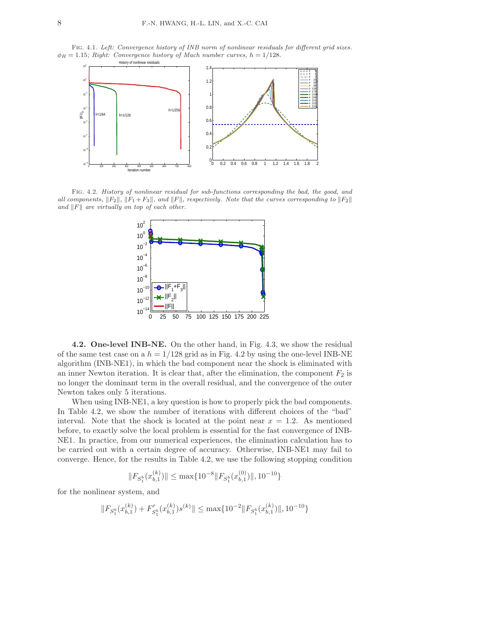Fig. 4.1. Left: Convergence history of INB norm of nonlinear residuals for different grid sizes.  $\phi_R = 1.15$ ; Right: Convergence history of Mach number curves,  $h = 1/128$ .



Fig. 4.2. History of nonlinear residual for sub-functions corresponding the bad, the good, and all components,  $||F_2||$ ,  $||F_1 + F_3||$ , and  $||F||$ , respectively. Note that the curves corresponding to  $||F_2||$ and  $||F||$  are virtually on top of each other.



4.2. One-level INB-NE. On the other hand, in Fig. 4.3, we show the residual of the same test case on a  $h = 1/128$  grid as in Fig. 4.2 by using the one-level INB-NE algorithm (INB-NE1), in which the bad component near the shock is eliminated with an inner Newton iteration. It is clear that, after the elimination, the component  $F_2$  is no longer the dominant term in the overall residual, and the convergence of the outer Newton takes only 5 iterations.

When using INB-NE1, a key question is how to properly pick the bad components. In Table 4.2, we show the number of iterations with different choices of the "bad" interval. Note that the shock is located at the point near  $x = 1.2$ . As mentioned before, to exactly solve the local problem is essential for the fast convergence of INB-NE1. In practice, from our numerical experiences, the elimination calculation has to be carried out with a certain degree of accuracy. Otherwise, INB-NE1 may fail to converge. Hence, for the results in Table 4.2, we use the following stopping condition

$$
||F_{S_1^b}(x_{b,1}^{(k)})|| \le \max\{10^{-8}||F_{S_1^b}(x_{b,1}^{(0)})||, 10^{-10}\}
$$

for the nonlinear system, and

$$
||F_{S_1^b}(x_{b,1}^{(k)}) + F'_{S_1^b}(x_{b,1}^{(k)})s^{(k)}|| \le \max\{10^{-2}||F_{S_1^b}(x_{b,1}^{(k)})||, 10^{-10}\}
$$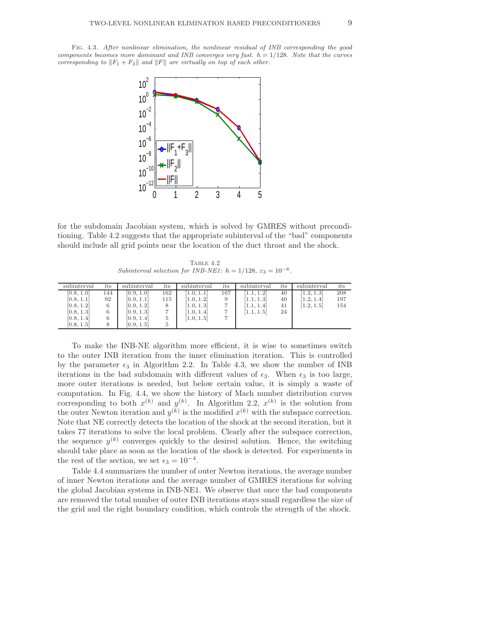

for the subdomain Jacobian system, which is solved by GMRES without preconditioning. Table 4.2 suggests that the appropriate subinterval of the "bad" components should include all grid points near the location of the duct throat and the shock.

TABLE  $4.2$ Subinterval selection for INB-NE1:  $h = 1/128$ ,  $\varepsilon_3 = 10^{-6}$ .

| subinterval | its | subinterval | its | subinterval | its | subinterval | its | subinterval | its |
|-------------|-----|-------------|-----|-------------|-----|-------------|-----|-------------|-----|
| [0.8, 1.0]  | 144 | [0.9, 1.0]  | 162 | [1.0, 1.1]  | 167 | 1.1.1.2     | 40  | 1.2.1.3     | 208 |
| [0.8, 1.1]  | 92  | [0.9, 1.1]  | 115 | [1.0, 1.2]  |     | [1.1, 1.3]  | 40  | [1.2, 1.4]  | 197 |
| [0.8, 1.2]  |     | [0.9, 1.2]  |     | [1.0, 1.3]  |     | [1.1, 1.4]  | 41  | [1.2, 1.5]  | 154 |
| [0.8, 1.3]  |     | [0.9, 1.3]  |     | [1.0, 1.4]  |     | [1.1, 1.5]  | 24  |             |     |
| [0.8, 1.4]  |     | [0.9, 1.4]  | 5   | [1.0, 1.5]  |     |             |     |             |     |
| [0.8, 1.5]  |     | [0.9, 1.5]  | 5   |             |     |             |     |             |     |

To make the INB-NE algorithm more efficient, it is wise to sometimes switch to the outer INB iteration from the inner elimination iteration. This is controlled by the parameter  $\epsilon_3$  in Algorithm 2.2. In Table 4.3, we show the number of INB iterations in the bad subdomain with different values of  $\epsilon_3$ . When  $\epsilon_3$  is too large, more outer iterations is needed, but below certain value, it is simply a waste of computation. In Fig. 4.4, we show the history of Mach number distribution curves corresponding to both  $x^{(k)}$  and  $y^{(k)}$ . In Algorithm 2.2,  $x^{(k)}$  is the solution from the outer Newton iteration and  $y^{(k)}$  is the modified  $x^{(k)}$  with the subspace correction. Note that NE correctly detects the location of the shock at the second iteration, but it takes 77 iterations to solve the local problem. Clearly after the subspace correction, the sequence  $y^{(k)}$  converges quickly to the desired solution. Hence, the switching should take place as soon as the location of the shock is detected. For experiments in the rest of the section, we set  $\epsilon_3 = 10^{-4}$ .

Table 4.4 summarizes the number of outer Newton iterations, the average number of inner Newton iterations and the average number of GMRES iterations for solving the global Jacobian systems in INB-NE1. We observe that once the bad components are removed the total number of outer INB iterations stays small regardless the size of the grid and the right boundary condition, which controls the strength of the shock.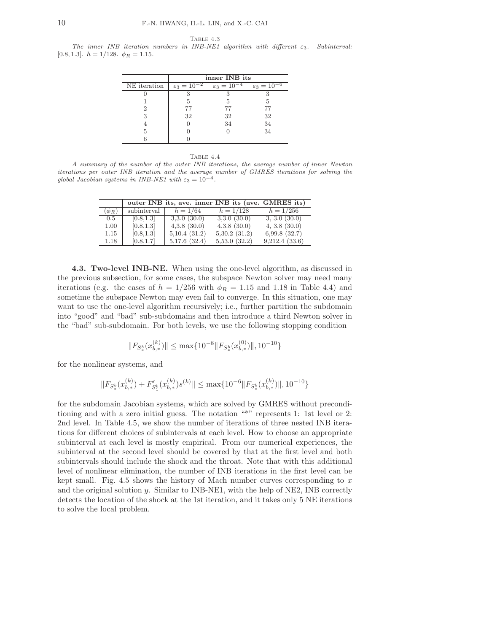Table 4.3

The inner INB iteration numbers in INB-NE1 algorithm with different ε3. Subinterval: [0.8, 1.3].  $h = 1/128$ .  $\phi_R = 1.15$ .

|              | inner INB its             |                           |                           |  |  |
|--------------|---------------------------|---------------------------|---------------------------|--|--|
| NE iteration | $\varepsilon_3 = 10^{-2}$ | $\varepsilon_3 = 10^{-4}$ | $\varepsilon_3 = 10^{-6}$ |  |  |
|              |                           |                           |                           |  |  |
|              |                           |                           | 5                         |  |  |
|              | 77                        | 77                        |                           |  |  |
| 3            | 32                        | 32                        | 32                        |  |  |
|              |                           | 34                        | 34                        |  |  |
| 5            |                           |                           | 34                        |  |  |
|              |                           |                           |                           |  |  |

|--|--|

A summary of the number of the outer INB iterations, the average number of inner Newton iterations per outer INB iteration and the average number of GMRES iterations for solving the global Jacobian systems in INB-NE1 with  $\varepsilon_3 = 10^{-4}$ .

|            |             | outer INB its, ave. inner INB its (ave. GMRES its) |                  |                   |
|------------|-------------|----------------------------------------------------|------------------|-------------------|
| $(\phi_R)$ | subinterval | $h = 1/64$                                         | $h = 1/128$      | $h = 1/256$       |
| 0.5        | [0.8, 1.3]  | 3.3.0(30.0)                                        | 3,3.0(30.0)      | 3, 3.0 (30.0)     |
| 1.00       | [0.8, 1.3]  | $4,3.8$ $(30.0)$                                   | $4,3.8$ $(30.0)$ | $4, 3.8$ $(30.0)$ |
| 1.15       | [0.8, 1.3]  | 5,10.4(31.2)                                       | 5,30.2(31.2)     | 6,99.8(32.7)      |
| 1.18       | [0.8, 1.7]  | 5,17.6(32.4)                                       | 5,53.0(32.2)     | 9,212.4(33.6)     |

4.3. Two-level INB-NE. When using the one-level algorithm, as discussed in the previous subsection, for some cases, the subspace Newton solver may need many iterations (e.g. the cases of  $h = 1/256$  with  $\phi_R = 1.15$  and 1.18 in Table 4.4) and sometime the subspace Newton may even fail to converge. In this situation, one may want to use the one-level algorithm recursively; i.e., further partition the subdomain into "good" and "bad" sub-subdomains and then introduce a third Newton solver in the "bad" sub-subdomain. For both levels, we use the following stopping condition

$$
||F_{S_*^b}(x_{b,*}^{(k)})|| \le \max\{10^{-8}||F_{S_*^b}(x_{b,*}^{(0)})||, 10^{-10}\}
$$

for the nonlinear systems, and

$$
\|F_{S^b_{\ast}}(x_{b,\ast}^{(k)})+F'_{S^b_{1}}(x_{b,\ast}^{(k)})s^{(k)}\|\leq \max\{10^{-6}\|F_{S^b_{\ast}}(x_{b,\ast}^{(k)})\|,10^{-10}\}
$$

for the subdomain Jacobian systems, which are solved by GMRES without preconditioning and with a zero initial guess. The notation "\*" represents 1: 1st level or 2: 2nd level. In Table 4.5, we show the number of iterations of three nested INB iterations for different choices of subintervals at each level. How to choose an appropriate subinterval at each level is mostly empirical. From our numerical experiences, the subinterval at the second level should be covered by that at the first level and both subintervals should include the shock and the throat. Note that with this additional level of nonlinear elimination, the number of INB iterations in the first level can be kept small. Fig. 4.5 shows the history of Mach number curves corresponding to  $x$ and the original solution  $y$ . Similar to INB-NE1, with the help of NE2, INB correctly detects the location of the shock at the 1st iteration, and it takes only 5 NE iterations to solve the local problem.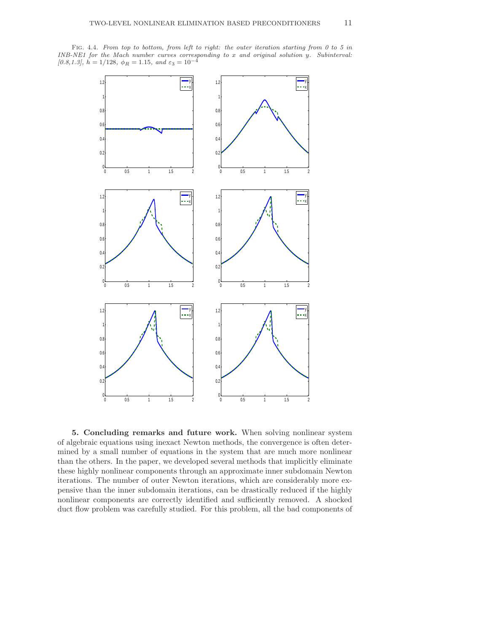FIG. 4.4. From top to bottom, from left to right: the outer iteration starting from 0 to 5 in INB-NE1 for the Mach number curves corresponding to x and original solution y. Subinterval: [0.8,1.3],  $h = 1/128$ ,  $\phi_R = 1.15$ , and  $\varepsilon_3 = 10^{-4}$ 



5. Concluding remarks and future work. When solving nonlinear system of algebraic equations using inexact Newton methods, the convergence is often determined by a small number of equations in the system that are much more nonlinear than the others. In the paper, we developed several methods that implicitly eliminate these highly nonlinear components through an approximate inner subdomain Newton iterations. The number of outer Newton iterations, which are considerably more expensive than the inner subdomain iterations, can be drastically reduced if the highly nonlinear components are correctly identified and sufficiently removed. A shocked duct flow problem was carefully studied. For this problem, all the bad components of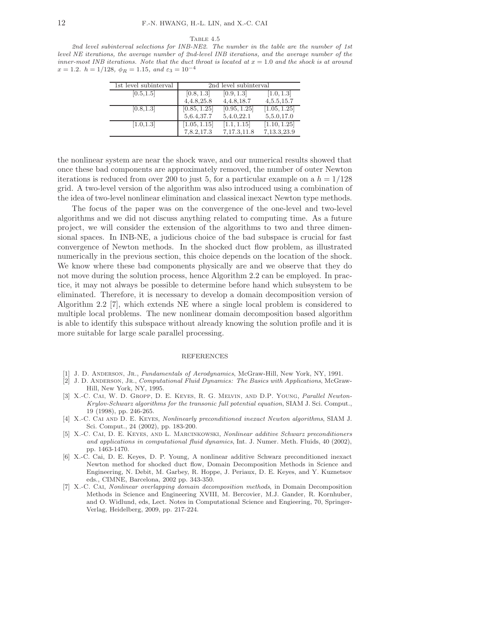#### TABLE  $4.5$

2nd level subinterval selections for INB-NE2. The number in the table are the number of 1st level NE iterations, the average number of 2nd-level INB iterations, and the average number of the inner-most INB iterations. Note that the duct throat is located at  $x = 1.0$  and the shock is at around  $x = 1.2. h = 1/128, \phi_R = 1.15, and \varepsilon_3 = 10^{-4}$ 

| 1st level subinterval | 2nd level subinterval |              |              |  |
|-----------------------|-----------------------|--------------|--------------|--|
| [0.5, 1.5]            | [0.8, 1.3]            | [0.9, 1.3]   | [1.0, 1.3]   |  |
|                       | 4, 4.8, 25.8          | 4, 4.8, 18.7 | 4,5.5,15.7   |  |
| [0.8, 1.3]            | [0.85, 1.25]          | [0.95, 1.25] | [1.05, 1.25] |  |
|                       | 5,6.4,37.7            | 5,4.0,22.1   | 5,5.0,17.0   |  |
| [1.0, 1.3]            | [1.05, 1.15]          | [1.1, 1.15]  | [1.10, 1.25] |  |
|                       | 7,8.2,17.3            | 7,17.3,11.8  | 7,13.3,23.9  |  |

the nonlinear system are near the shock wave, and our numerical results showed that once these bad components are approximately removed, the number of outer Newton iterations is reduced from over 200 to just 5, for a particular example on a  $h = 1/128$ grid. A two-level version of the algorithm was also introduced using a combination of the idea of two-level nonlinear elimination and classical inexact Newton type methods.

The focus of the paper was on the convergence of the one-level and two-level algorithms and we did not discuss anything related to computing time. As a future project, we will consider the extension of the algorithms to two and three dimensional spaces. In INB-NE, a judicious choice of the bad subspace is crucial for fast convergence of Newton methods. In the shocked duct flow problem, as illustrated numerically in the previous section, this choice depends on the location of the shock. We know where these bad components physically are and we observe that they do not move during the solution process, hence Algorithm 2.2 can be employed. In practice, it may not always be possible to determine before hand which subsystem to be eliminated. Therefore, it is necessary to develop a domain decomposition version of Algorithm 2.2 [7], which extends NE where a single local problem is considered to multiple local problems. The new nonlinear domain decomposition based algorithm is able to identify this subspace without already knowing the solution profile and it is more suitable for large scale parallel processing.

## REFERENCES

- [1] J. D. ANDERSON, JR., Fundamentals of Aerodynamics, McGraw-Hill, New York, NY, 1991.
- [2] J. D. ANDERSON, JR., Computational Fluid Dynamics: The Basics with Applications, McGraw-Hill, New York, NY, 1995.
- [3] X.-C. CAI, W. D. GROPP, D. E. KEYES, R. G. MELVIN, AND D.P. YOUNG, Parallel Newton-Krylov-Schwarz algorithms for the transonic full potential equation, SIAM J. Sci. Comput., 19 (1998), pp. 246-265.
- [4] X.-C. Cai and D. E. Keyes, Nonlinearly preconditioned inexact Newton algorithms, SIAM J. Sci. Comput., 24 (2002), pp. 183-200.
- [5] X.-C. Cai, D. E. Keyes, and L. Marcinkowski, Nonlinear additive Schwarz preconditioners and applications in computational fluid dynamics, Int. J. Numer. Meth. Fluids, 40 (2002), pp. 1463-1470.
- [6] X.-C. Cai, D. E. Keyes, D. P. Young, A nonlinear additive Schwarz preconditioned inexact Newton method for shocked duct flow, Domain Decomposition Methods in Science and Engineering, N. Debit, M. Garbey, R. Hoppe, J. Periaux, D. E. Keyes, and Y. Kuznetsov eds., CIMNE, Barcelona, 2002 pp. 343-350.
- [7] X.-C. Cai, Nonlinear overlapping domain decomposition methods, in Domain Decomposition Methods in Science and Engineering XVIII, M. Bercovier, M.J. Gander, R. Kornhuber, and O. Widlund, eds, Lect. Notes in Computational Science and Engieering, 70, Springer-Verlag, Heidelberg, 2009, pp. 217-224.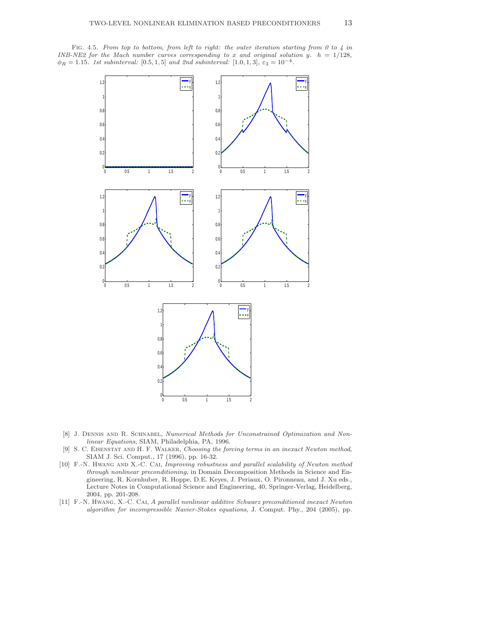FIG. 4.5. From top to bottom, from left to right: the outer iteration starting from 0 to 4 in INB-NE2 for the Mach number curves corresponding to x and original solution y.  $h = 1/128$ ,  $\phi_R = 1.15$ . 1st subinterval: [0.5, 1, 5] and 2nd subinterval: [1.0, 1, 3],  $\varepsilon_3 = 10^{-4}$ .



- [8] J. Dennis and R. Schnabel, Numerical Methods for Unconstrained Optimization and Nonlinear Equations, SIAM, Philadelphia, PA, 1996.
- [9] S. C. Eisenstat and H. F. Walker, Choosing the forcing terms in an inexact Newton method, SIAM J. Sci. Comput., 17 (1996), pp. 16-32.
- [10] F.-N. HWANG AND X.-C. CAI, Improving robustness and parallel scalability of Newton method through nonlinear preconditioning, in Domain Decomposition Methods in Science and Engineering, R. Kornhuber, R. Hoppe, D.E. Keyes, J. Periaux, O. Pironneau, and J. Xu eds., Lecture Notes in Computational Science and Engineering, 40, Springer-Verlag, Heidelberg, 2004, pp. 201-208.
- [11] F.-N. Hwang, X.-C. Cai, A parallel nonlinear additive Schwarz preconditioned inexact Newton algorithm for incompressible Navier-Stokes equations, J. Comput. Phy., 204 (2005), pp.